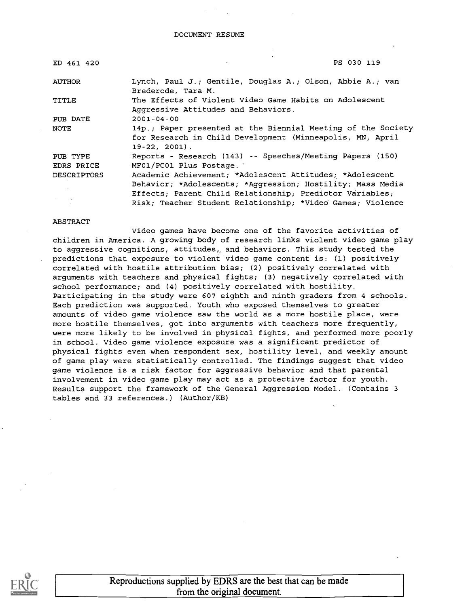DOCUMENT RESUME

| ED 461 420                          | PS 030 119                                                                                                                                                                         |
|-------------------------------------|------------------------------------------------------------------------------------------------------------------------------------------------------------------------------------|
| AUTHOR                              | Lynch, Paul J.; Gentile, Douglas A.; Olson, Abbie A.; van<br>Brederode, Tara M.                                                                                                    |
| TITLE                               | The Effects of Violent Video Game Habits on Adolescent<br>Aggressive Attitudes and Behaviors.                                                                                      |
| PUB DATE                            | $2001 - 04 - 00$                                                                                                                                                                   |
| NOTE                                | 14p.; Paper presented at the Biennial Meeting of the Society<br>for Research in Child Development (Minneapolis, MN, April<br>$19-22, 2001$ .                                       |
| PUB TYPE                            | Reports - Research (143) -- Speeches/Meeting Papers (150)                                                                                                                          |
| EDRS PRICE                          | MF01/PC01 Plus Postage.                                                                                                                                                            |
| DESCRIPTORS<br><b>Service State</b> | Academic Achievement; *Adolescent Attitudes; *Adolescent<br>Behavior; *Adolescents; *Aggression; Hostility; Mass Media<br>Effects; Parent Child Relationship; Predictor Variables; |
|                                     | Risk; Teacher Student Relationship; *Video Games; Violence                                                                                                                         |

### ABSTRACT

Video games have become one of the favorite activities of children in America. A growing body of research links violent video game play to aggressive cognitions, attitudes, and behaviors. This study tested the predictions that exposure to violent video game content is: (1) positively correlated with hostile attribution bias; (2) positively correlated with arguments with teachers and physical fights; (3) negatively correlated with school performance; and (4) positively correlated with hostility. Participating in the study were 607 eighth and ninth graders from 4 schools. Each prediction was supported. Youth who exposed themselves to greater amounts of video game violence saw the world as a more hostile place, were more hostile themselves, got into arguments with teachers more frequently, were more likely to be involved in physical fights, and performed more poorly in school. Video game violence exposure was a significant predictor of physical fights even when respondent sex, hostility level, and weekly amount of game play were statistically controlled. The findings suggest that video game violence is a risk factor for aggressive behavior and that parental involvement in video game play may act as a protective factor for youth. Results support the framework of the General Aggression Model. (Contains 3 tables and 33 references.) (Author/KB)



Reproductions supplied by EDRS are the best that can be made from the original document.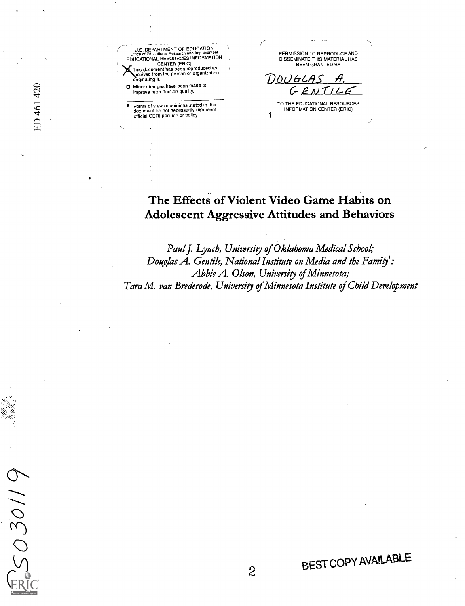ED 461 420

2030119

U.S. DEPARTMENT OF EDUCATION<br>
Office of Educational Research and Improvement<br>
EDUCATIONAL RESOURCES INFORMATION CENTER (ERIC) This document has been reproduced as ceived from the person or organization originating it.

<sup>I</sup> ID Minor changes have been made to improve reproduction quality.

Points of view or opinions stated in this document do not necessarily represent official OERI position or policy.

PERMISSION TO REPRODUCE AND DISSEMINATE THIS MATERIAL HAS BEEN GRANTED BY DOUGLAS A.

<sup>1</sup> TO THE EDUCATIONAL RESOURCES INFORMATION CENTER (ERIC)

# The Effects of Violent Video Game Habits on Adolescent Aggressive Attitudes and Behaviors

Paul J. Lynch, University of Oklahoma Medical School; Douglas A. Gentile, National Institute on Media and the Family'; Abbie A. Olson, University of Minnesota; Tara M. van Brederode, University of Minnesota Institute of Child Development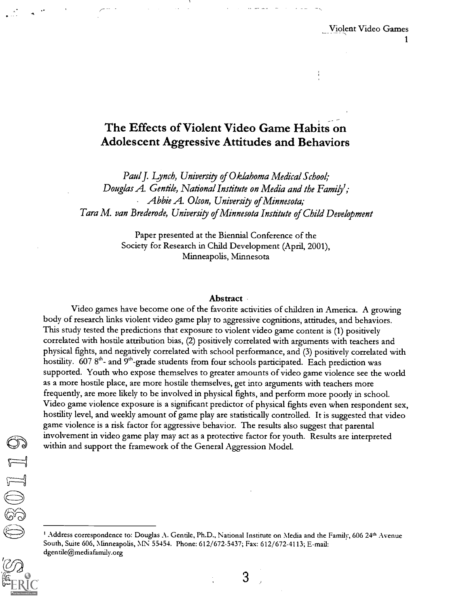# The Effects of Violent Video Game Habits on Adolescent Aggressive Attitudes and Behaviors

Paul J. Lynch, University of Oklahoma Medical School; Douglas A. Gentile, National Institute on Media and the Family<sup>1</sup>; Abbie A. Olson, University of Minnesota; Tara M. van Brederode, University of Minnesota Institute of Child Development

> Paper presented at the Biennial Conference of the Society for Research in Child Development (April, 2001), Minneapolis, Minnesota

### Abstract ·

Video games have become one of the favorite activities of children in America. A growing body of research links violent video game play to aggressive cognitions, attitudes, and behaviors. This study tested the predictions that exposure to violent video game content is (1) positively correlated with hostile attribution bias, (2) positively correlated with arguments with teachers and physical fights, and negatively correlated with school performance, and (3) positively correlated with hostility. 607 8<sup>th</sup>- and 9<sup>th</sup>-grade students from four schools participated. Each prediction was supported. Youth who expose themselves to greater amounts of video game violence see the world as a more hostile place, are more hostile themselves, get into arguments with teachers more frequently, are more likely to be involved in physical fights, and perform more poorly in school. Video game violence exposure is a significant predictor of physical fights even when respondent sex, hostility level, and weekly amount of game play are statistically controlled. It is suggested that video game violence is a risk factor for aggressive behavior. The results also suggest that parental involvement in video game play may act as a protective factor for youth. Results are interpreted within and support the framework of the General Aggression Model.

<sup>&</sup>lt;sup>1</sup> Address correspondence to: Douglas A. Gentile, Ph.D., National Institute on Media and the Family, 606 24<sup>th</sup> Avenue South, Suite 606, Minneapolis, MN 55454. Phone: 612/672-5437; Fax: 612/672-4113; E-mail: dgentile@mediafamily.org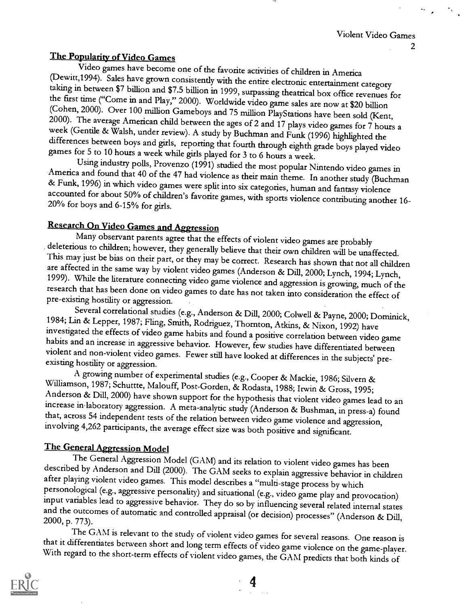The Popularity of Video Games<br>Video games have become one of the favorite activities of children in America (Dewitt,1994). Sales have grown consistently with the entire electronic entertainment category<br>taking in between \$7 billion and \$7.5 billion in 1999, surpassing theatrical box office revenues for<br>the first time ("Come in a

America and found that 40 of the 47 had violence as their main theme. In another study (Buchman & Funk, 1996) in which video games were split into six categories, human and fantasy violence accounted for about 50% of child

Research On Video Games and Aggression<br>Many observant parents agree that the effects of violent video games are probably deleterious to children; however, they generally believe that their own children will be unaffected.<br>This may just be bias on their part, or they may be correct. Research has shown that not all children<br>are affected in the

1984; Lin & Lepper, 1987; Fling, Smith, Rodriguez, Thornton, Atkins, & Nixon, 1992) have<br>investigated the effects of video game habits and found a positive correlation between video game<br>habits and an increase in aggressiv

Williamson, 1987; Schuttte, Malouff, Post-Gorden, & Rodasta, 1988; Irwin & Gross, 1995;<br>Anderson & Dill, 2000) have shown support for the hypothesis that violent video games lead to an<br>increase in laboratory aggression. A

The General Aggression Model<br>The General Aggression Model (GAM) and its relation to violent video games has been described by Anderson and Dill (2000). The GAM seeks to explain aggressive behavior in children<br>after playing violent video games. This model describes a "multi-stage process by which<br>personological (e.g., aggressive perso

The GAM is relevant to the study of violent video games for several reasons. One reason is<br>that it differentiates between short and long term effects of video game violence on the game-player.<br>With regard to the short-term

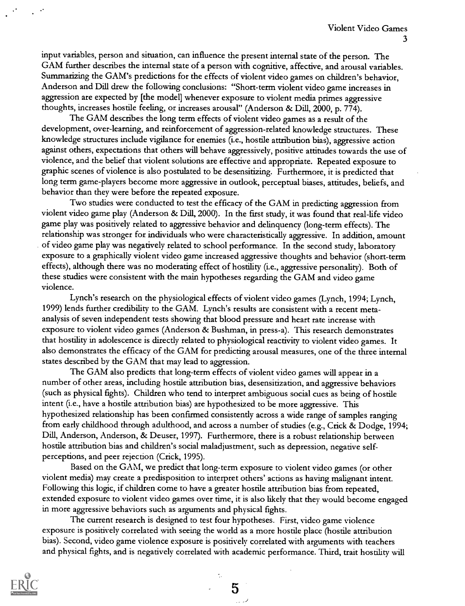input variables, person and situation, can influence the present internal state of the person. The GAM further describes the internal state of a person with cognitive, affective, and arousal variables. Summarizing the GAM's predictions for the effects of violent video games on children's behavior, Anderson and Dill drew the following conclusions: "Short-term violent video game increases in aggression are expected by [the model] whenever exposure to violent media primes aggressive thoughts, increases hostile feeling, or increases arousal" (Anderson & Dill, 2000, p. 774).

The GAM describes the long term effects of violent video games as a result of the development, over-learning, and reinforcement of aggression-related knowledge structures. These knowledge structures include vigilance for enemies (i.e., hostile attribution bias), aggressive action against others, expectations that others will behave aggressively, positive attitudes towards the use of violence, and the belief that violent solutions are effective and appropriate. Repeated exposure to graphic scenes of violence is also postulated to be desensitizing. Furthermore, it is predicted that long term game-players become more aggressive in outlook, perceptual biases, attitudes, beliefs, and behavior than they were before the repeated exposure.

Two studies were conducted to test the efficacy of the GAM in predicting aggression from violent video game play (Anderson & Dill, 2000). In the first study, it was found that real-life video game play was positively related to aggressive behavior and delinquency (long-term effects). The relationship was stronger for individuals who were characteristically aggressive. In addition, amount of video game play was negatively related to school performance. In the second study, laboratory exposure to a graphically violent video game increased aggressive thoughts and behavior (short-term effects), although there was no moderating effect of hostility (i.e., aggressive personality). Both of these studies were consistent with the main hypotheses regarding the GAM and video game violence.

Lynch's research on the physiological effects of violent video games (Lynch, 1994; Lynch, 1999) lends further credibility to the GAM. Lynch's results are consistent with a recent metaanalysis of seven independent tests showing that blood pressure and heart rate increase with exposure to violent video games (Anderson & Bushman, in press-a). This research demonstrates that hostility in adolescence is directly related to physiological reactivity to violent video games. It also demonstrates the efficacy of the GAM for predicting arousal measures, one of the three internal states described by the GAM that may lead to aggression.

The GAM also predicts that long-term effects of violent video games will appear in a number of other areas, including hostile attribution bias, desensitization, and aggressive behaviors (such as physical fights). Children who tend to interpret ambiguous social cues as being of hostile intent (i.e., have a hostile attribution bias) are hypothesized to be more aggressive. This hypothesized relationship has been confirmed consistently across a wide range of samples ranging from early childhood through adulthood, and across a number of studies (e.g., Crick & Dodge, 1994; Dill, Anderson, Anderson, & Deuser, 1997). Furthermore, there is a robust relationship between hostile attribution bias and children's social maladjustment, such as depression, negative selfperceptions, and peer rejection (Crick, 1995).

Based on the GAM, we predict that long-term exposure to violent video games (or other violent media) may create a predisposition to interpret others' actions as having malignant intent. Following this logic, if children come to have a greater hostile attribution bias from repeated, extended exposure to violent video games over time, it is also likely that they would become engaged in more aggressive behaviors such as arguments and physical fights.

The current research is designed to test four hypotheses. First, video game violence exposure is positively correlated with seeing the world as a more hostile place (hostile attribution bias). Second, video game violence exposure is positively correlated with arguments with teachers and physical fights, and is negatively correlated with academic performance. Third, trait hostility will

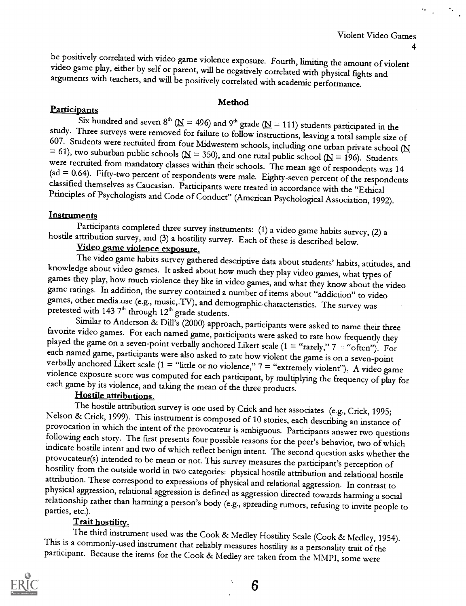be positively correlated with video game violence exposure. Fourth, limiting the amount of violent video game play, either by self or parent, will be negatively correlated with physical fights and arguments with teachers,

### Method

Participants<br>Six hundred and seven  $8^{th}$  ( $\underline{N}$  = 496) and  $9^{th}$  grade ( $\underline{N}$  = 111) students participated in the study. Three surveys were removed for failure to follow instructions, leaving a total sample size of 607. Students were recruited from four Midwestern schools, including one urban private school ( $N = 61$ ), two suburban pu

Instruments<br>Participants completed three survey instruments: (1) a video game habits survey, (2) a

hostile attribution survey, and (3) a hostility survey. Each of these is described below.<br>Video game violence exposure.<br>The video game habits survey gathered descriptive data about students' habits, attitudes, and knowledge about video games. It asked about how much they play video games, what types of games they play, how much violence they like in video games, and what they know about the video game ratings. In addition, the surv

favorite video games. For each named game, participants were asked to rate how frequently they<br>played the game on a seven-point verbally anchored Likert scale (1 = "rarely," 7 = "often"). For<br>each named game, participants

Nelson & Crick, 1999). This instrument is composed of 10 stories, each describing an instance of<br>provocation in which the intent of the provocateur is ambiguous. Participants answer two questions<br>following each story. The

Trait hostility.<br>The third instrument used was the Cook & Medley Hostility Scale (Cook & Medley, 1954). This is a commonly-used instrument that reliably measures hostility as a personality trait of the participant. Because the items for the Cook & Medley are taken from the MMPI, some were

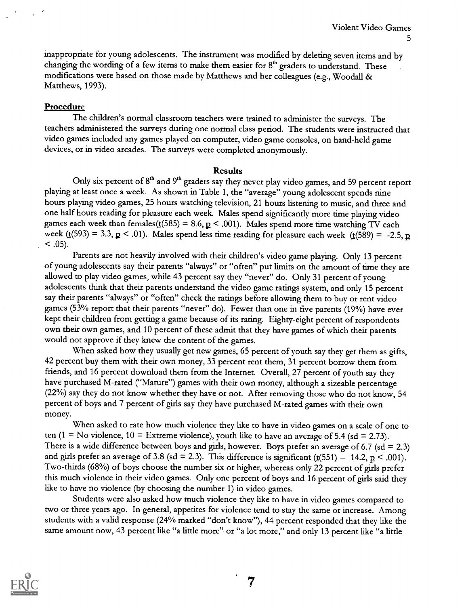inappropriate for young adolescents. The instrument was modified by deleting seven items and by changing the wording of a few items to make them easier for  $8<sup>th</sup>$  graders to understand. These modifications were based on those made by Matthews and her colleagues (e.g., Woodall & Matthews, 1993).

## **Procedure**

The children's normal classroom teachers were trained to administer the surveys. The teachers administered the surveys during one normal class period. The students were instructed that video games included any games played on computer, video game consoles, on hand-held game devices, or in video arcades. The surveys were completed anonymously.

### Results

Only six percent of 8<sup>th</sup> and 9<sup>th</sup> graders say they never play video games, and 59 percent report playing at least once a week. As shown in Table 1, the "average" young adolescent spends nine hours playing video games, 25 hours watching television, 21 hours listening to music, and three and one half hours reading for pleasure each week. Males spend significantly more time playing video games each week than females( $t(585) = 8.6$ ,  $p < .001$ ). Males spend more time watching TV each week ( $t(593) = 3.3$ ,  $p < .01$ ). Males spend less time reading for pleasure each week ( $t(589) = -2.5$ , p  $<$  .05).

Parents are not heavily involved with their children's video game playing. Only 13 percent of young adolescents say their parents "always" or "often" put limits on the amount of time they are allowed to play video games, while 43 percent say they "never" do. Only 31 percent of young adolescents think that their parents understand the video game ratings system, and only 15 percent say their parents "always" or "often" check the ratings before allowing them to buy or rent video games (53% report that their parents "never" do). Fewer than one in five parents (19%) have ever kept their children from getting a game because of its rating. Eighty-eight percent of respondents own their own games, and 10 percent of these admit that they have games of which their parents would not approve if they knew the content of the games.

When asked how they usually get new games, 65 percent of youth say they get them as gifts, 42 percent buy them with their own money, 33 percent rent them, 31 percent borrow them from friends, and 16 percent download them from the Internet. Overall, 27 percent of youth say they have purchased M-rated ("Mature") games with their own money, although a sizeable percentage (22%) say they do not know whether they have or not. After removing those who do not know, 54 percent of boys and 7 percent of girls say they have purchased M-rated games with their own money.

When asked to rate how much violence they like to have in video games on a scale of one to ten (1 = No violence, 10 = Extreme violence), youth like to have an average of 5.4 (sd = 2.73). There is a wide difference between boys and girls, however. Boys prefer an average of 6.7 (sd = 2.3) and girls prefer an average of 3.8 (sd = 2.3). This difference is significant ( $\underline{t}(551) = 14.2$ ,  $\underline{p} < .001$ ). Two-thirds (68%) of boys choose the number six or higher, whereas only 22 percent of girls prefer this much violence in their video games. Only one percent of boys and 16 percent of girls said they like to have no violence (by choosing the number 1) in video games.

Students were also asked how much violence they like to have in video games compared to two or three years ago. In general, appetites for violence tend to stay the same or increase. Among students with a valid response (24% marked "don't know"), 44 percent responded that they like the same amount now, 43 percent like "a little more" or "a lot more," and only 13 percent like "a little

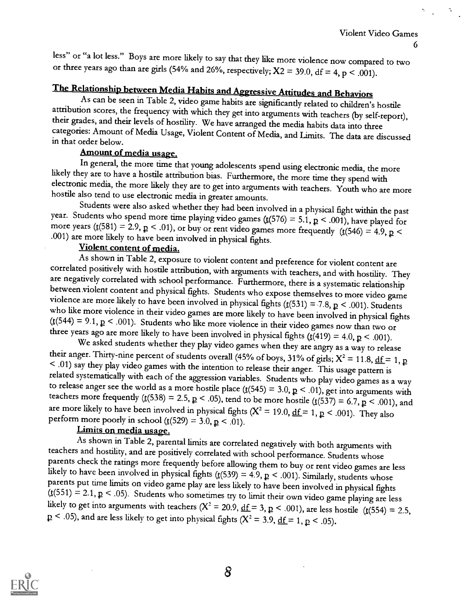less" or "a lot less." Boys are more likely to say that they like more violence now compared to two or three years ago than are girls (54% and 26%, respectively;  $X2 = 39.0$ , df = 4, p < .001).

The Relationship between Media Habits and Aggressive Attitudes and Behaviors<br>As can be seen in Table 2, video game habits are significantly related to children's hostile attribution scores, the frequency with which they get into arguments with teachers (by self-report), their grades, and their levels of hostility. We have arranged the media habits data into three categories: Amount of Medi

Amount of media usage.<br>In general, the more time that young adolescents spend using electronic media, the more likely they are to have a hostile attribution bias. Furthermore, the more time they spend with electronic media, the more likely they are to get into arguments with teachers. Youth who are more hostile also tend to use electronic media in greater amounts.

year. Students who spend more time playing video games ( $\mathbf{t}(576) = 5.1$ ,  $\mathbf{p} < .001$ ), have played for more years ( $\mathbf{t}(581) = 2.9$ ,  $\mathbf{p} < .01$ ), or buy or rent video games more frequently ( $\mathbf{t}(546) = 4.9$ ,  $\mathbf{$ 

Violent content of media.<br>As shown in Table 2, exposure to violent content and preference for violent content are correlated positively with hostile attribution, with arguments with teachers, and with hostility. They are negatively correlated with school performance. Furthermore, there is a systematic relationship between violent content and physical fights. Students who expose themselves to more video game<br>violence are more likely to have been involved in physical fights  $(t(531) = 7.8, p < .001)$ . Students<br>who like more violence in th

their anger. Thirty-nine percent of students overall (45% of boys, 31% of girls;  $X^2 = 11.8$ , <u>df</u> = 1, p < .01) say they play video games with the intention to release their anger. This usage pattern is related systematically with each of the aggression variables. Students who play video games as a way to release anger see the world as a more hostile place ( $\text{t}(545) = 3.0, \text{p} < .01$ ), get into arguments with teachers more frequently ( $t(538) = 2.5$ ,  $p < .05$ ), tend to be more hostile ( $t(537) = 6.7$ ,  $p < .001$ ), and are more likely to have been involved in physical fights  $(X^2 = 19.0, \underline{df} = 1, p < .001)$ . They also perform more poorly in school ( $\underline{t}(529) = 3.0, \underline{p} < .01$ ).

Limits on media usage.<br>As shown in Table 2, parental limits are correlated negatively with both arguments with teachers and hostility, and are positively correlated with school performance. Students whose<br>parents check the ratings more frequently before allowing them to buy or rent video games are less<br>likely to have been involved likely to get into arguments with teachers ( $X^2 = 20.9$ ,  $\underline{df} = 3$ ,  $\underline{p} < .001$ ), are less hostile ( $\underline{t}(554) = 2.5$ ,  $p < .05$ , and are less likely to get into physical fights ( $X^2 = 3.9$ ,  $\underline{df} = 1$ ,  $p < .05$ ).

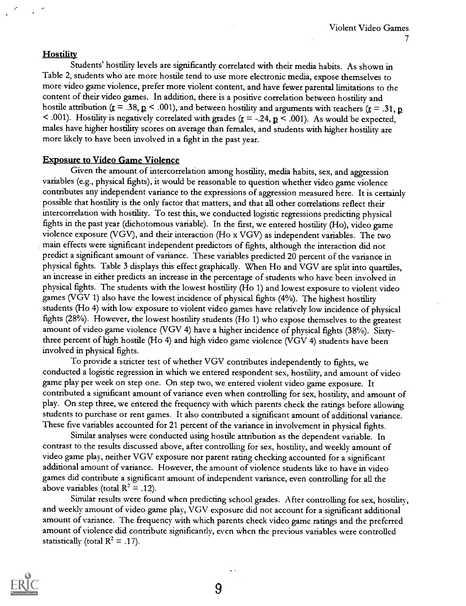### **Hostility**

Students' hostility levels are significantly correlated with their media habits. As shown in Table 2, students who are more hostile tend to use more electronic media, expose themselves to more video game violence, prefer more violent content, and have fewer parental limitations to the content of their video games. In addition, there is a positive correlation between hostility and hostile attribution ( $\underline{r} = .38$ ,  $\underline{p} < .001$ ), and between hostility and arguments with teachers ( $\underline{r} = .31$ ,  $\underline{p}$ < .001). Hostility is negatively correlated with grades ( $\underline{r}$  = -.24,  $\underline{p}$  < .001). As would be expected, males have higher hostility scores on average than females, and students with higher hostility are more likely to have been involved in a fight in the past year.

### Exposure to Video Game Violence

Given the amount of intercorrelation among hostility, media habits, sex, and aggression variables (e.g., physical fights), it would be reasonable to question whether video game violence contributes any independent variance to the expressions of aggression measured here. It is certainly possible that hostility is the only factor that matters, and that all other correlations reflect their intercorrelation with hostility. To test this, we conducted logistic regressions predicting physical fights in the past year (dichotomous variable). In the first, we entered hostility (Ho), video game violence exposure (VGV), and their interaction (Ho x VGV) as independent variables. The two main effects were significant independent predictors of fights, although the interaction did not predict a significant amount of variance. These variables predicted 20 percent of the variance in physical fights. Table 3 displays this effect graphically. When Ho and VGV are split into quartiles, an increase in either predicts an increase in the percentage of students who have been involved in physical fights. The students with the lowest hostility (Ho 1) and lowest exposure to violent video games (VGV 1) also have the lowest incidence of physical fights (4%). The highest hostility students (Ho 4) with low exposure to violent video games have relatively low incidence of physical fights (28%). However, the lowest hostility students (Ho 1) who expose themselves to the greatest amount of video game violence (VGV 4) have a higher incidence of physical fights (38%). Sixtythree percent of high hostile (Ho 4) and high video game violence (VGV 4) students have been involved in physical fights.

To provide a stricter test of whether VGV contributes independently to fights, we conducted a logistic regression in which we entered respondent sex, hostility, and amount of video game play per week on step one. On step two, we entered violent video game exposure. It contributed a significant amount of variance even when controlling for sex, hostility, and amount of play. On step three, we entered the frequency with which parents check the ratings before allowing students to purchase or rent games. It also contributed a significant amount of additional variance. These five variables accounted for 21 percent of the variance in involvement in physical fights.

Similar analyses were conducted using hostile attribution as the dependent variable. In contrast to the results discussed above, after controlling for sex, hostility, and weekly amount of video game play, neither VGV exposure nor parent rating checking accounted for a significant additional amount of variance. However, the amount of violence students like to have in video games did contribute a significant amount of independent variance, even controlling for all the above variables (total  $R^2 = .12$ ).

Similar results were found when predicting school grades. After controlling for sex, hostility, and weekly amount of video game play, VGV exposure did not account for a significant additional amount of variance. The frequency with which parents check video game ratings and the preferred amount of violence did contribute significantly, even when the previous variables were controlled statistically (total  $R^2 = .17$ ).

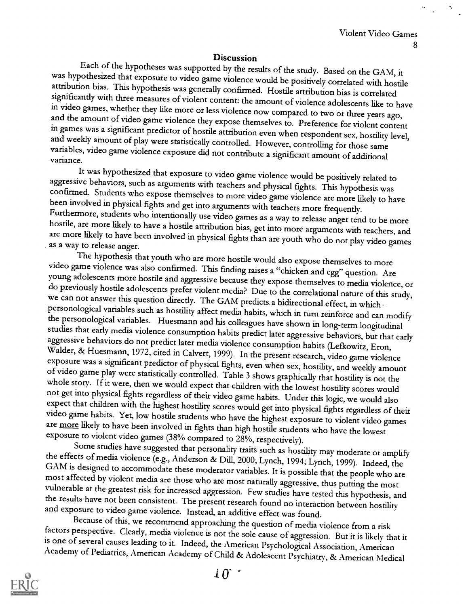**Discussion**<br>Each of the hypotheses was supported by the results of the study. Based on the GAM, it was hypothesized that exposure to video game violence would be positively correlated with hostile attribution bias. This hypothesis was generally confirmed. Hostile attribution bias is correlated significantly with three m

It was hypothesized that exposure to video game violence would be positively related to<br>aggressive behaviors, such as arguments with teachers and physical fights. This hypothesis was<br>confirmed. Students who expose themselv

The hypothesis that youth who are more hossite would also expose themselves to more widen game violence was also confirmed. This finding mass a "chicken and egg" question. Are young adolescents more bostile and aggressive

and exposure to video game violence. Instead, an additive effect was found.<br>Because of this, we recommend approaching the question of media violence from a risk<br>factors perspective. Clearly, media violence is not the sole

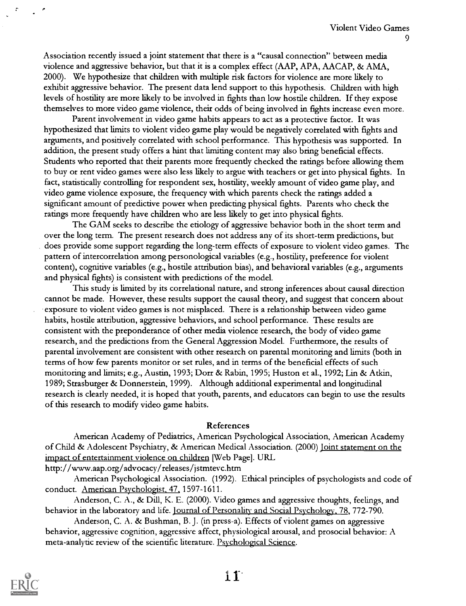Association recently issued a joint statement that there is a "causal connection" between media violence and aggressive behavior, but that it is a complex effect (AAP, APA, AACAP, & AMA, 2000). We hypothesize that children with multiple risk factors for violence are more likely to exhibit aggressive behavior. The present data lend support to this hypothesis. Children with high levels of hostility are more likely to be involved in fights than low hostile children. If they expose themselves to more video game violence, their odds of being involved in fights increase even more.

Parent involvement in video game habits appears to act as a protective factor. It was hypothesized that limits to violent video game play would be negatively correlated with fights and arguments, and positively correlated with school performance. This hypothesis was supported. In addition, the present study offers a hint that limiting content may also bring beneficial effects. Students who reported that their parents more frequently checked the ratings before allowing them to buy or rent video games were also less likely to argue with teachers or get into physical fights. In fact, statistically controlling for respondent sex, hostility, weekly amount of video game play, and video game violence exposure, the frequency with which parents check the ratings added a significant amount of predictive power when predicting physical fights. Parents who check the ratings more frequently have children who are less likely to get into physical fights.

The GAM seeks to describe the etiology of aggressive behavior both in the short term and over the long term. The present research does not address any of its short-term predictions, but does provide some support regarding the long-term effects of exposure to violent video games. The pattern of intercorrelation among personological variables (e.g., hostility, preference for violent content), cognitive variables (e.g., hostile attribution bias), and behavioral variables (e.g., arguments and physical fights) is consistent with predictions of the model.

This study is limited by its correlational nature, and strong inferences about causal direction cannot be made. However, these results support the causal theory, and suggest that concern about exposure to violent video games is not misplaced. There is a relationship between video game habits, hostile attribution, aggressive behaviors, and school performance. These results are consistent with the preponderance of other media violence research, the body of video game research, and the predictions from the General Aggression Model. Furthermore, the results of parental involvement are consistent with other research on parental monitoring and limits (both in terms of how few parents monitor or set rules, and in terms of the beneficial effects of such monitoring and limits; e.g., Austin, 1993; Dorr & Rabin, 1995; Huston et al., 1992; Lin & Atkin, 1989; Strasburger & Donnerstein, 1999). Although additional experimental and longitudinal research is clearly needed, it is hoped that youth, parents, and educators can begin to use the results of this research to modify video game habits.

### References

American Academy of Pediatrics, American Psychological Association, American Academy of Child & Adolescent Psychiatry, & American Medical Association. (2000) Joint statement on the impact of entertainment violence on children [Web Page]. URL

http://www.aap.org/advocacy/releases/jstmtevc.htm

American Psychological Association. (1992). Ethical principles of psychologists and code of conduct. American Psychologist, 47, 1597-1611.

Anderson, C. A., & Dill, K. E. (2000). Video games and aggressive thoughts, feelings, and behavior in the laboratory and life. Journal of Personality and Social Psychology, 78, 772-790.

Anderson, C. A. & Bushman, B. J. (in press-a). Effects of violent games on aggressive behavior, aggressive cognition, aggressive affect, physiological arousal, and prosocial behavior: A meta-analytic review of the scientific literature. Psychological Science.

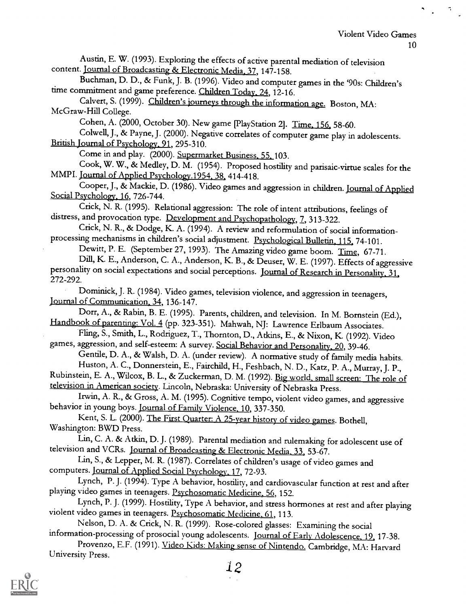۰,

Austin, E. W. (1993). Exploring the effects of active parental mediation of television content. Journal of Broadcasting & Electronic Media. 37, 147-158.

Buchman, D. D., & Funk, J. B. (1996). Video and computer games in the '90s: Children's time commitment and game preference. Children Today, 24, 12-16.

Calvert, S. (1999). Children's journeys through the information age. Boston, MA: McGraw-Hill College.

Cohen, A. (2000, October 30). New game [PlayStation 2]. Time, 156, 58-60.

Colwell, J., & Payne, J. (2000). Negative correlates of computer game play in adolescents. British Journal of Psychology. 91, 295-310.

Come in and play. (2000). Supermarket Business. 55. 103.

Cook, W. W., & Medley, D. M. (1954). Proposed hostility and parisaic-virtue scales for the MMPI. Journal of Applied Psychology.1954. 38, 414-418.

Cooper, J., & Mackie, D. (1986). Video games and aggression in children. Journal of Applied Social Psychology, 16, 726-744.<br>Crick, N. R. (1995). Relational aggression: The role of intent attributions, feelings of

distress, and provocation type. Development and Psychopathology, 7, 313-322.

Crick, N. R., & Dodge, K. A. (1994). A review and reformulation of social informationprocessing mechanisms in children's social adjustment. Psychological Bulletin. 115, 74-101.

Dewitt, P. E. (September 27, 1993). The Amazing video game boom. Time, 67-71. Dill, K. E., Anderson, C. A., Anderson, K. B., & Deuser, W. E. (1997). Effects of aggressive personality on social expectations and social perceptions. Journal of Research in Personality, 31, 272-292.

Dominick, J. R. (1984). Video games, television violence, and aggression in teenagers, Journal of Communication. 34, 136-147.

Dorr, A., & Rabin, B. E. (1995). Parents, children, and television. In M. Bornstein (Ed.), Handbook of parenting: Vol. 4 (pp. 323-351). Mahwah, NJ: Lawrence Erlbaum Associates.

Fling, S., Smith, L., Rodriguez, T., Thornton, D., Atkins, E., & Nixon, K. (1992). Video games, aggression, and self-esteem: A survey. Social Behavior and Personality. 20, 39-46.

Gentile, D. A., & Walsh, D. A. (under review). A normative study of family media habits. Huston, A. C., Donnerstein, E., Fairchild, H., Feshbach, N. D., Katz, P. A., Murray, J. P.,

Rubinstein, E. A., Wilcox, B. L., & Zuckerman, D. M. (1992). Big world, small screen: The role of television in American society. Lincoln, Nebraska: University of Nebraska Press.

Irwin, A. R., & Gross, A. M. (1995). Cognitive tempo, violent video games, and aggressive behavior in young boys. Journal of Family Violence. 10, 337-350.

Kent, S. L. (2000). The First Quarter: A 25-year history of video games. Bothell, Washington: BWD Press.

Lin, C. A. & Atkin, D. J. (1989). Parental mediation and rulemaking for adolescent use of television and VCRs. Journal of Broadcasting & Electronic Media, 33, 53-67.

Lin, S., & Lepper, M. R. (1987). Correlates of children's usage of video games and computers. Journal of Applied Social Psychology. 17, 72-93.

Lynch, P. J. (1994). Type A behavior, hostility, and cardiovascular function at rest and after playing video games in teenagers. Psychosomatic Medicine, 56, 152.

Lynch, P. J. (1999). Hostility, Type A behavior, and stress hormones at rest and after playing violent video games in teenagers. Psychosomatic Medicine. 61, 113.

Nelson, D. A. & Crick, N. R. (1999). Rose-colored glasses: Examining the social information-processing of prosocial young adolescents. Journal of Early Adolescence. 19, 17-38.

Provenzo, E.F. (1991). Video Kids: Making sense of Nintendo. Cambridge, MA: Harvard University Press.

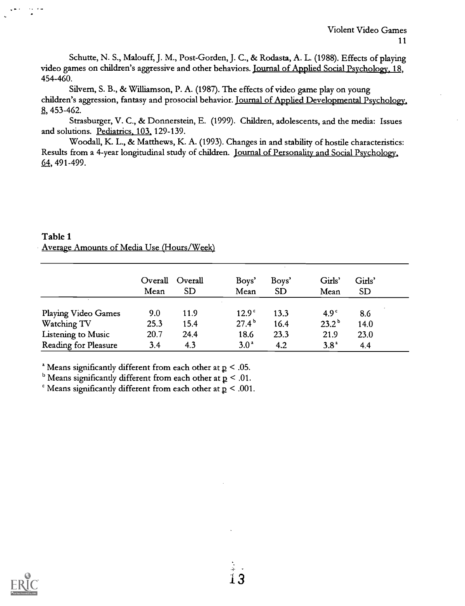Schutte, N. S., Malouff, J. M., Post-Gorden, J. C., & Rodasta, A. L. (1988). Effects of playing video games on children's aggressive and other behaviors. Journal of Applied Social Psychology. 18, 454-460.

Silvern, S. B., & Williamson, P. A. (1987). The effects of video game play on young children's aggression, fantasy and prosocial behavior. Journal of Applied Developmental Psychology, 8, 453-462.

Strasburger, V. C., & Donnerstein, E. (1999). Children, adolescents, and the media: Issues and solutions. Pediatrics. 103, 129-139.

Woodall, K. L., & Matthews, K. A. (1993). Changes in and stability of hostile characteristics: Results from a 4-year longitudinal study of children. Journal of Personality and Social Psychology, 64, 491-499.

## Table 1 Average Amounts of Media Use (Hours/Week)

|                      | Overall<br>Mean | Overall<br>$\operatorname{SD}$ | Boys'<br>Mean     | Boys'<br><b>SD</b> | Girls'<br>Mean   | Girls'<br><b>SD</b> |
|----------------------|-----------------|--------------------------------|-------------------|--------------------|------------------|---------------------|
| Playing Video Games  | 9.0             | 11.9                           | 12.9 <sup>°</sup> | 13.3               | 4.9 <sup>c</sup> | 8.6                 |
| Watching TV          | 25.3            | 15.4                           | 27.4 <sup>b</sup> | 16.4               | $23.2^{\rm b}$   | 14.0                |
| Listening to Music   | 20.7            | 24.4                           | 18.6              | 23.3               | 21.9             | 23.0                |
| Reading for Pleasure | 3.4             | 4.3                            | 3.0 <sup>a</sup>  | 4.2                | 3.8 <sup>a</sup> | 4.4                 |

<sup>a</sup> Means significantly different from each other at  $p < .05$ .

 $<sup>b</sup>$  Means significantly different from each other at  $p < .01$ .</sup>

 $\epsilon$  Means significantly different from each other at  $p < .001$ .

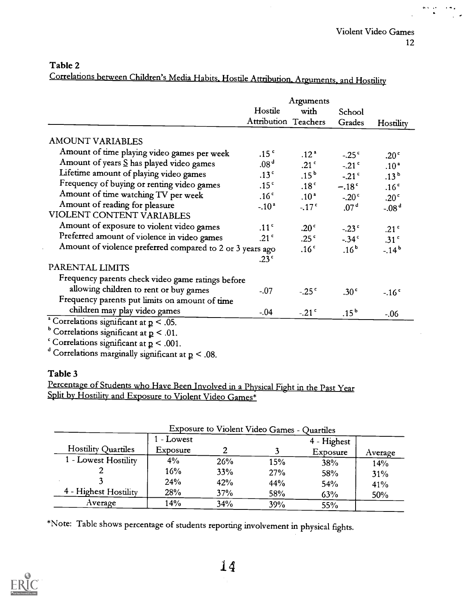# Table 2

Correlations between Children's Media Habits, Hostile Attribution, Arguments, and Hostility

|                                                           | Arguments            |                  |                  |                  |
|-----------------------------------------------------------|----------------------|------------------|------------------|------------------|
|                                                           | Hostile<br>with      |                  | School           |                  |
|                                                           | Attribution Teachers |                  | Grades           | Hostility        |
| <b>AMOUNT VARIABLES</b>                                   |                      |                  |                  |                  |
| Amount of time playing video games per week               | .15 <sup>c</sup>     | .12 <sup>2</sup> | $-.25c$          | .20 <sup>°</sup> |
| Amount of years $S$ has played video games                | .08 <sup>d</sup>     | .21 <sup>c</sup> | $-.21c$          | .10 <sup>a</sup> |
| Lifetime amount of playing video games                    | .13 <sup>c</sup>     | $.15^{\,b}$      | $-.21c$          | .13 <sup>b</sup> |
| Frequency of buying or renting video games                | .15 <sup>c</sup>     | .18 <sup>c</sup> | $-.18c$          | .16 <sup>c</sup> |
| Amount of time watching TV per week                       | .16 <sup>°</sup>     | .10 <sup>a</sup> | $-.20c$          | .20 <sup>c</sup> |
| Amount of reading for pleasure                            | $-.102$              | $-.17c$          | .07 <sup>d</sup> | $-0.08d$         |
| VIOLENT CONTENT VARIABLES                                 |                      |                  |                  |                  |
| Amount of exposure to violent video games                 | .11 <sup>c</sup>     | .20 <sup>°</sup> | $-.23c$          | .21 <sup>c</sup> |
| Preferred amount of violence in video games               | .21 $\degree$        | .25 <sup>c</sup> | $-.34c$          | .31 <sup>c</sup> |
| Amount of violence preferred compared to 2 or 3 years ago |                      | .16 <sup>c</sup> | .16 <sup>b</sup> | $-14^{b}$        |
|                                                           | .23 <sup>°</sup>     |                  |                  |                  |
| PARENTAL LIMITS                                           |                      |                  |                  |                  |
| Frequency parents check video game ratings before         |                      |                  |                  |                  |
| allowing children to rent or buy games                    | $-.07$               | $-.25c$          | .30 <sup>°</sup> | $-.16c$          |
| Frequency parents put limits on amount of time            |                      |                  |                  |                  |
| children may play video games                             | $-.04$               | $-.21c$          | $.15^{\rm b}$    | $-.06$           |
| <sup>a</sup> Correlations significant at $p < .05$ .      |                      |                  |                  |                  |
| <sup>b</sup> Correlations significant at $p < .01$ .      |                      |                  |                  |                  |
| Correlations significant at $p < .001$ .                  |                      |                  |                  |                  |

Correlations marginally significant at  $\mathtt{p}$  < .08.

# Table 3

Percentage of Students who Have Been Involved in a Physical Fight in the Past Year Split by Hostility and Exposure to Violent Video Games\*

| Exposure to Violent Video Games - Quartiles |            |     |     |             |         |
|---------------------------------------------|------------|-----|-----|-------------|---------|
|                                             | 1 - Lowest |     |     | 4 - Highest |         |
| Hostility Quartiles                         | Exposure   |     |     | Exposure    | Average |
| 1 - Lowest Hostility                        | 4%         | 26% | 15% | 38%         | 14%     |
|                                             | 16%        | 33% | 27% | 58%         | 31%     |
|                                             | 24%        | 42% | 44% | 54%         | 41%     |
| 4 - Highest Hostility                       | 28%        | 37% | 58% | 63%         | 50%     |
| Average                                     | 14%        | 34% | 39% | 55%         |         |

\*Note: Table shows percentage of students reporting involvement in physical fights.

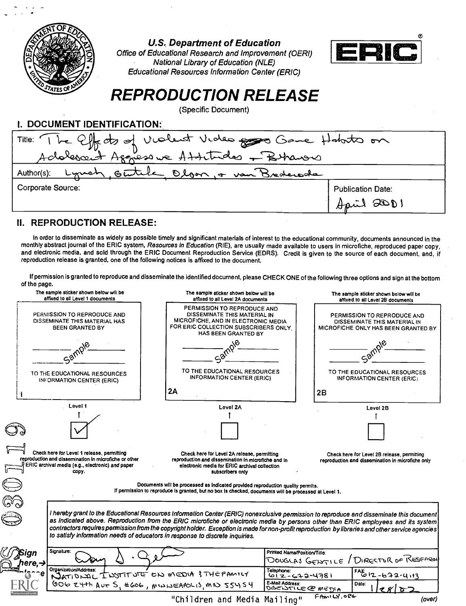

U.S. Department of Education

Office of Educational Research and Improvement (0ERI) National Library of Education (NLE) Educational Resources Information Center (ERIC)



# REPRODUCTION RELEASE

(Specific Document)

I. DOCUMENT IDENTIFICATION:

| Title: The Effects of Violent Violes 2000 Game Holato on<br>Adolescent Aggressive Attitudes + Bhanow |                                        |  |  |  |
|------------------------------------------------------------------------------------------------------|----------------------------------------|--|--|--|
|                                                                                                      |                                        |  |  |  |
| Author(s): Lymel Geutile Olson, + van Brederode                                                      |                                        |  |  |  |
| Corporate Source:                                                                                    | <b>Publication Date:</b><br>April 2001 |  |  |  |
|                                                                                                      |                                        |  |  |  |
|                                                                                                      |                                        |  |  |  |

# II. REPRODUCTION RELEASE:

In order to disseminate as widely as possible timely and significant materials of interest to the educational community, documents announced in the monthly abstract journal of the ERIC system, Resources in Education (RIE), are usually made available to users in microfiche, reproduced paper copy, and electronic media, and sold through the ERIC Document Reproduction Service (EDRS). Credit is given to the source of each document, and, if reproduction release is granted, one of the following notices is affixed to the document.

If permission is granted to reproduce and disseminate the identified document, please CHECK ONE of the following three options and sign at the bottom of the page.